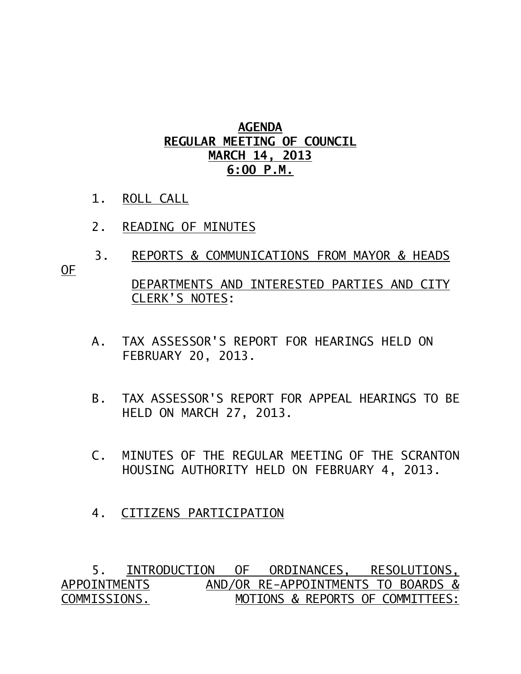## **AGENDA REGULAR MEETING OF COUNCIL MARCH 14, 2013 6:00 P.M.**

- 1. ROLL CALL
- 2. READING OF MINUTES
- 3. REPORTS & COMMUNICATIONS FROM MAYOR & HEADS

OF

## DEPARTMENTS AND INTERESTED PARTIES AND CITY CLERK'S NOTES:

- A. TAX ASSESSOR'S REPORT FOR HEARINGS HELD ON FEBRUARY 20, 2013.
- B. TAX ASSESSOR'S REPORT FOR APPEAL HEARINGS TO BE HELD ON MARCH 27, 2013.
- C. MINUTES OF THE REGULAR MEETING OF THE SCRANTON HOUSING AUTHORITY HELD ON FEBRUARY 4, 2013.
- 4. CITIZENS PARTICIPATION

 5. INTRODUCTION OF ORDINANCES, RESOLUTIONS, APPOINTMENTS AND/OR RE-APPOINTMENTS TO BOARDS & COMMISSIONS. MOTIONS & REPORTS OF COMMITTEES: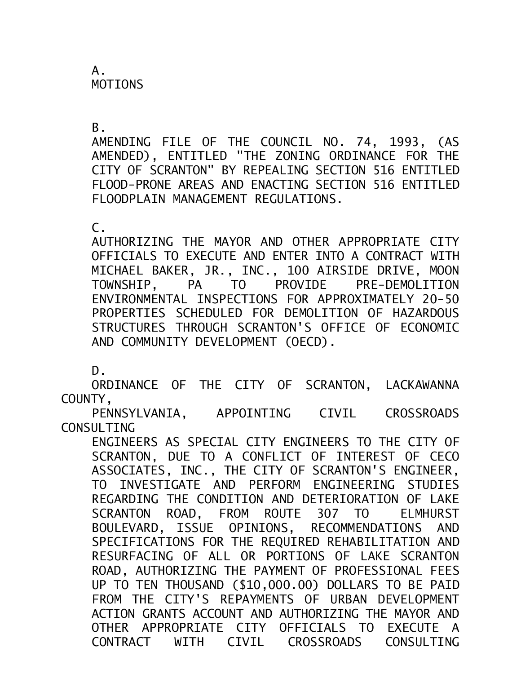A. MOTIONS

 $B<sub>-</sub>$ 

AMENDING FILE OF THE COUNCIL NO. 74, 1993, (AS AMENDED), ENTITLED "THE ZONING ORDINANCE FOR THE CITY OF SCRANTON" BY REPEALING SECTION 516 ENTITLED FLOOD-PRONE AREAS AND ENACTING SECTION 516 ENTITLED FLOODPLAIN MANAGEMENT REGULATIONS.

 $C<sub>-</sub>$ 

AUTHORIZING THE MAYOR AND OTHER APPROPRIATE CITY OFFICIALS TO EXECUTE AND ENTER INTO A CONTRACT WITH MICHAEL BAKER, JR., INC., 100 AIRSIDE DRIVE, MOON TOWNSHIP, PA TO PROVIDE PRE-DEMOLITION ENVIRONMENTAL INSPECTIONS FOR APPROXIMATELY 20-50 PROPERTIES SCHEDULED FOR DEMOLITION OF HAZARDOUS STRUCTURES THROUGH SCRANTON'S OFFICE OF ECONOMIC AND COMMUNITY DEVELOPMENT (OECD).

D.

ORDINANCE OF THE CITY OF SCRANTON, LACKAWANNA COUNTY,

PENNSYLVANIA, APPOINTING CIVIL CROSSROADS CONSULTING

ENGINEERS AS SPECIAL CITY ENGINEERS TO THE CITY OF SCRANTON, DUE TO A CONFLICT OF INTEREST OF CECO ASSOCIATES, INC., THE CITY OF SCRANTON'S ENGINEER, TO INVESTIGATE AND PERFORM ENGINEERING STUDIES REGARDING THE CONDITION AND DETERIORATION OF LAKE SCRANTON ROAD, FROM ROUTE 307 TO ELMHURST BOULEVARD, ISSUE OPINIONS, RECOMMENDATIONS AND SPECIFICATIONS FOR THE REQUIRED REHABILITATION AND RESURFACING OF ALL OR PORTIONS OF LAKE SCRANTON ROAD, AUTHORIZING THE PAYMENT OF PROFESSIONAL FEES UP TO TEN THOUSAND (\$10,000.00) DOLLARS TO BE PAID FROM THE CITY'S REPAYMENTS OF URBAN DEVELOPMENT ACTION GRANTS ACCOUNT AND AUTHORIZING THE MAYOR AND OTHER APPROPRIATE CITY OFFICIALS TO EXECUTE A CONTRACT WITH CIVIL CROSSROADS CONSULTING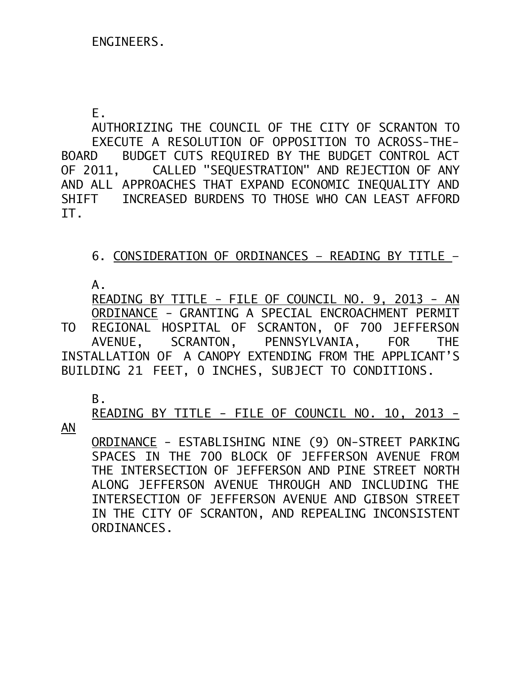E.

 AUTHORIZING THE COUNCIL OF THE CITY OF SCRANTON TO EXECUTE A RESOLUTION OF OPPOSITION TO ACROSS-THE-BOARD BUDGET CUTS REQUIRED BY THE BUDGET CONTROL ACT OF 2011, CALLED "SEQUESTRATION" AND REJECTION OF ANY AND ALL APPROACHES THAT EXPAND ECONOMIC INEQUALITY AND SHIFT INCREASED BURDENS TO THOSE WHO CAN LEAST AFFORD IT.

6. CONSIDERATION OF ORDINANCES – READING BY TITLE –

A.

READING BY TITLE - FILE OF COUNCIL NO. 9, 2013 - AN ORDINANCE - GRANTING A SPECIAL ENCROACHMENT PERMIT

TO REGIONAL HOSPITAL OF SCRANTON, OF 700 JEFFERSON AVENUE, SCRANTON, PENNSYLVANIA, FOR THE INSTALLATION OF A CANOPY EXTENDING FROM THE APPLICANT'S BUILDING 21 FEET, 0 INCHES, SUBJECT TO CONDITIONS.

B.

READING BY TITLE - FILE OF COUNCIL NO. 10, 2013 -

AN

ORDINANCE - ESTABLISHING NINE (9) ON-STREET PARKING SPACES IN THE 700 BLOCK OF JEFFERSON AVENUE FROM THE INTERSECTION OF JEFFERSON AND PINE STREET NORTH ALONG JEFFERSON AVENUE THROUGH AND INCLUDING THE INTERSECTION OF JEFFERSON AVENUE AND GIBSON STREET IN THE CITY OF SCRANTON, AND REPEALING INCONSISTENT ORDINANCES.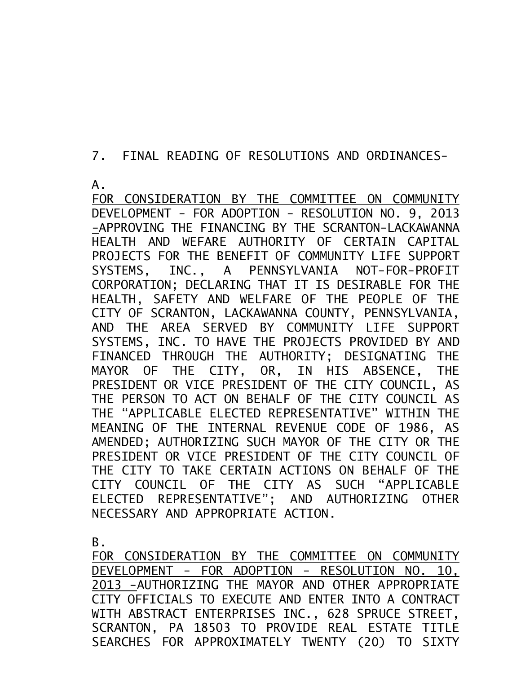## 7. FINAL READING OF RESOLUTIONS AND ORDINANCES-

A.

FOR CONSIDERATION BY THE COMMITTEE ON COMMUNITY DEVELOPMENT - FOR ADOPTION - RESOLUTION NO. 9, 2013 -APPROVING THE FINANCING BY THE SCRANTON-LACKAWANNA HEALTH AND WEFARE AUTHORITY OF CERTAIN CAPITAL PROJECTS FOR THE BENEFIT OF COMMUNITY LIFE SUPPORT SYSTEMS, INC., A PENNSYLVANIA NOT-FOR-PROFIT CORPORATION; DECLARING THAT IT IS DESIRABLE FOR THE HEALTH, SAFETY AND WELFARE OF THE PEOPLE OF THE CITY OF SCRANTON, LACKAWANNA COUNTY, PENNSYLVANIA, AND THE AREA SERVED BY COMMUNITY LIFE SUPPORT SYSTEMS, INC. TO HAVE THE PROJECTS PROVIDED BY AND FINANCED THROUGH THE AUTHORITY; DESIGNATING THE MAYOR OF THE CITY, OR, IN HIS ABSENCE, THE PRESIDENT OR VICE PRESIDENT OF THE CITY COUNCIL, AS THE PERSON TO ACT ON BEHALF OF THE CITY COUNCIL AS THE "APPLICABLE ELECTED REPRESENTATIVE" WITHIN THE MEANING OF THE INTERNAL REVENUE CODE OF 1986, AS AMENDED; AUTHORIZING SUCH MAYOR OF THE CITY OR THE PRESIDENT OR VICE PRESIDENT OF THE CITY COUNCIL OF THE CITY TO TAKE CERTAIN ACTIONS ON BEHALF OF THE CITY COUNCIL OF THE CITY AS SUCH "APPLICABLE ELECTED REPRESENTATIVE"; AND AUTHORIZING OTHER NECESSARY AND APPROPRIATE ACTION.

B.

FOR CONSIDERATION BY THE COMMITTEE ON COMMUNITY DEVELOPMENT - FOR ADOPTION - RESOLUTION NO. 10, 2013 -AUTHORIZING THE MAYOR AND OTHER APPROPRIATE CITY OFFICIALS TO EXECUTE AND ENTER INTO A CONTRACT WITH ABSTRACT ENTERPRISES INC., 628 SPRUCE STREET, SCRANTON, PA 18503 TO PROVIDE REAL ESTATE TITLE SEARCHES FOR APPROXIMATELY TWENTY (20) TO SIXTY